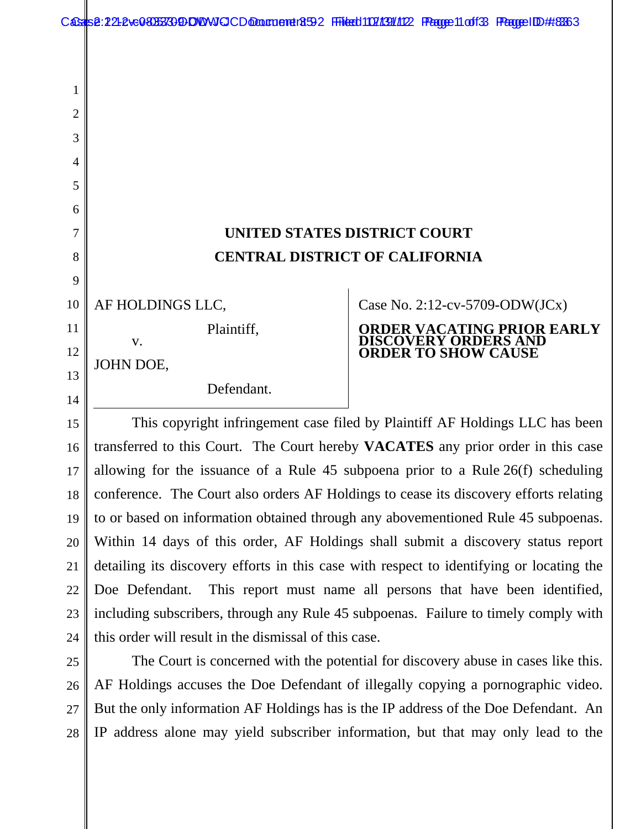|    | Cassis 2.21-2 ve0 3055733 9DDWVIGCD @Doutcord r8592 FFilest1102/1391/102 FPagge 11 off 33 FPagge ID ## 3363 |  |                            |                                   |  |  |
|----|-------------------------------------------------------------------------------------------------------------|--|----------------------------|-----------------------------------|--|--|
|    |                                                                                                             |  |                            |                                   |  |  |
|    |                                                                                                             |  |                            |                                   |  |  |
| 1  |                                                                                                             |  |                            |                                   |  |  |
| 2  |                                                                                                             |  |                            |                                   |  |  |
| 3  |                                                                                                             |  |                            |                                   |  |  |
| 4  |                                                                                                             |  |                            |                                   |  |  |
| 5  |                                                                                                             |  |                            |                                   |  |  |
| 6  |                                                                                                             |  |                            |                                   |  |  |
| 7  | <b>UNITED STATES DISTRICT COURT</b>                                                                         |  |                            |                                   |  |  |
| 8  | <b>CENTRAL DISTRICT OF CALIFORNIA</b>                                                                       |  |                            |                                   |  |  |
| 9  |                                                                                                             |  |                            |                                   |  |  |
| 10 | AF HOLDINGS LLC,                                                                                            |  |                            | Case No. 2:12-cv-5709-ODW(JCx)    |  |  |
| 11 | Plaintiff,<br>V.                                                                                            |  | ISCOVERY ORDERS AND        | <b>ORDER VACATING PRIOR EARLY</b> |  |  |
| 12 | JOHN DOE,                                                                                                   |  | <b>ORDER TO SHOW CAUSE</b> |                                   |  |  |
| 13 | Defendant.                                                                                                  |  |                            |                                   |  |  |
| 14 |                                                                                                             |  |                            |                                   |  |  |
| 15 | This copyright infringement case filed by Plaintiff AF Holdings LLC has been                                |  |                            |                                   |  |  |

This copyright infringement case filed by Plaintiff AF Holdings LLC has been transferred to this Court. The Court hereby **VACATES** any prior order in this case allowing for the issuance of a Rule 45 subpoena prior to a Rule 26(f) scheduling conference. The Court also orders AF Holdings to cease its discovery efforts relating to or based on information obtained through any abovementioned Rule 45 subpoenas. Within 14 days of this order, AF Holdings shall submit a discovery status report detailing its discovery efforts in this case with respect to identifying or locating the Doe Defendant. This report must name all persons that have been identified, including subscribers, through any Rule 45 subpoenas. Failure to timely comply with this order will result in the dismissal of this case. 16 17 18 19 20 21 22 23 24

The Court is concerned with the potential for discovery abuse in cases like this. AF Holdings accuses the Doe Defendant of illegally copying a pornographic video. But the only information AF Holdings has is the IP address of the Doe Defendant. An IP address alone may yield subscriber information, but that may only lead to the 25

26

27

28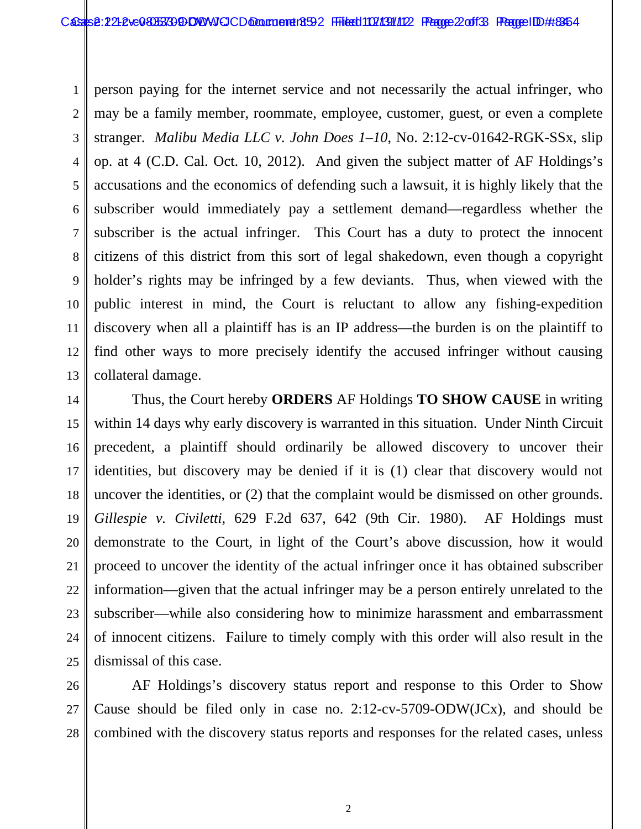1 2 3 4 5 6 7 8 9 10 11 12 13 person paying for the internet service and not necessarily the actual infringer, who may be a family member, roommate, employee, customer, guest, or even a complete stranger. *Malibu Media LLC v. John Does 1–10*, No. 2:12-cv-01642-RGK-SSx, slip op. at 4 (C.D. Cal. Oct. 10, 2012). And given the subject matter of AF Holdings's accusations and the economics of defending such a lawsuit, it is highly likely that the subscriber would immediately pay a settlement demand—regardless whether the subscriber is the actual infringer. This Court has a duty to protect the innocent citizens of this district from this sort of legal shakedown, even though a copyright holder's rights may be infringed by a few deviants. Thus, when viewed with the public interest in mind, the Court is reluctant to allow any fishing-expedition discovery when all a plaintiff has is an IP address—the burden is on the plaintiff to find other ways to more precisely identify the accused infringer without causing collateral damage.

14 15 16 17 18 19 20 21 22 23 24 25 Thus, the Court hereby **ORDERS** AF Holdings **TO SHOW CAUSE** in writing within 14 days why early discovery is warranted in this situation. Under Ninth Circuit precedent, a plaintiff should ordinarily be allowed discovery to uncover their identities, but discovery may be denied if it is (1) clear that discovery would not uncover the identities, or (2) that the complaint would be dismissed on other grounds. *Gillespie v. Civiletti*, 629 F.2d 637, 642 (9th Cir. 1980). AF Holdings must demonstrate to the Court, in light of the Court's above discussion, how it would proceed to uncover the identity of the actual infringer once it has obtained subscriber information—given that the actual infringer may be a person entirely unrelated to the subscriber—while also considering how to minimize harassment and embarrassment of innocent citizens. Failure to timely comply with this order will also result in the dismissal of this case.

26 27 28 AF Holdings's discovery status report and response to this Order to Show Cause should be filed only in case no. 2:12-cv-5709-ODW(JCx), and should be combined with the discovery status reports and responses for the related cases, unless